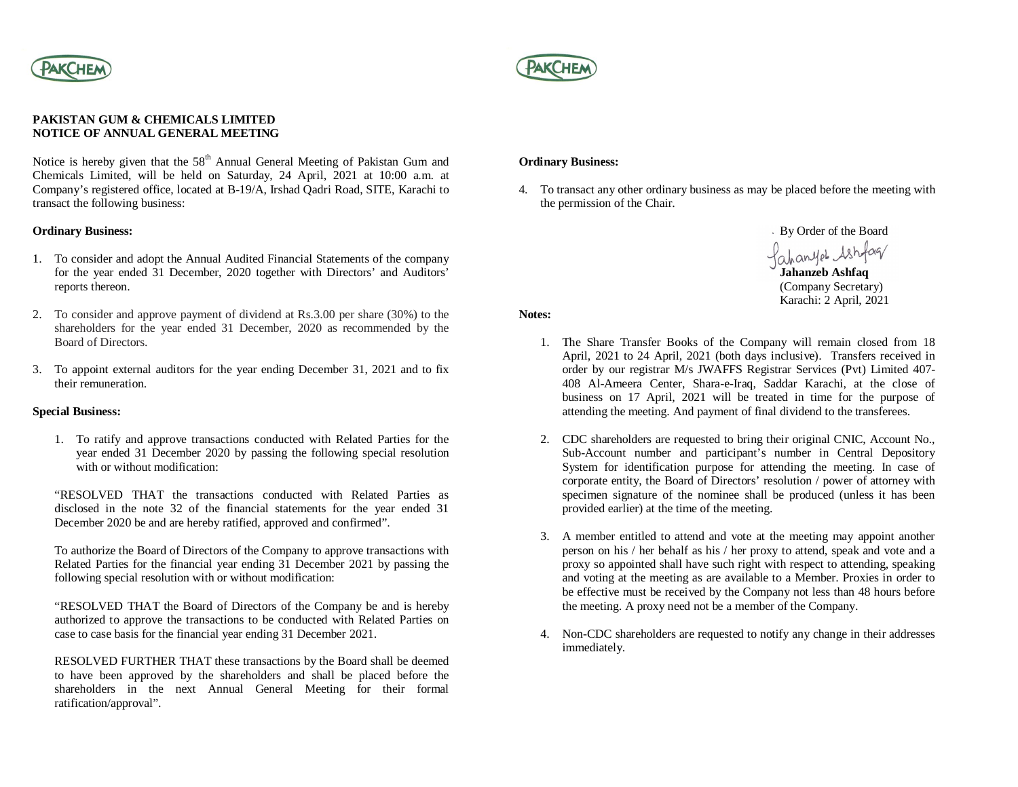



### **PAKISTAN GUM & CHEMICALS LIMITED NOTICE OF ANNUAL GENERAL MEETING**

Notice is hereby given that the 58<sup>th</sup> Annual General Meeting of Pakistan Gum and Chemicals Limited, will be held on Saturday, 24 April, 2021 at 10:00 a.m. at Company's registered office, located at B-19/A, Irshad Qadri Road, SITE, Karachi to transact the following business:

## **Ordinary Business:**

- 1. To consider and adopt the Annual Audited Financial Statements of the company for the year ended 31 December, 2020 together with Directors' and Auditors' reports thereon.
- 2. To consider and approve payment of dividend at Rs.3.00 per share (30%) to the shareholders for the year ended 31 December, 2020 as recommended by the Board of Directors.
- 3. To appoint external auditors for the year ending December 31, 2021 and to fix their remuneration.

## **Special Business:**

1. To ratify and approve transactions conducted with Related Parties for the year ended 31 December 2020 by passing the following special resolution with or without modification:

"RESOLVED THAT the transactions conducted with Related Parties as disclosed in the note 32 of the financial statements for the year ended 31 December 2020 be and are hereby ratified, approved and confirmed".

To authorize the Board of Directors of the Company to approve transactions with Related Parties for the financial year ending 31 December 2021 by passing the following special resolution with or without modification:

"RESOLVED THAT the Board of Directors of the Company be and is hereby authorized to approve the transactions to be conducted with Related Parties on case to case basis for the financial year ending 31 December 2021.

RESOLVED FURTHER THAT these transactions by the Board shall be deemed to have been approved by the shareholders and shall be placed before the shareholders in the next Annual General Meeting for their formal ratification/approval".

### **Ordinary Business:**

4. To transact any other ordinary business as may be placed before the meeting with the permission of the Chair.

> By Order of the Board fahanyet Ashfaq

**Jahanzeb Ashfaq** (Company Secretary) Karachi: 2 April, 2021

**Notes:**

- 1. The Share Transfer Books of the Company will remain closed from 18 April, 2021 to 24 April, 2021 (both days inclusive). Transfers received in order by our registrar M/s JWAFFS Registrar Services (Pvt) Limited 407- 408 Al-Ameera Center, Shara-e-Iraq, Saddar Karachi, at the close of business on 17 April, 2021 will be treated in time for the purpose of attending the meeting. And payment of final dividend to the transferees.
- 2. CDC shareholders are requested to bring their original CNIC, Account No., Sub-Account number and participant's number in Central Depository System for identification purpose for attending the meeting. In case of corporate entity, the Board of Directors' resolution / power of attorney with specimen signature of the nominee shall be produced (unless it has been provided earlier) at the time of the meeting.
- 3. A member entitled to attend and vote at the meeting may appoint another person on his / her behalf as his / her proxy to attend, speak and vote and a proxy so appointed shall have such right with respect to attending, speaking and voting at the meeting as are available to a Member. Proxies in order to be effective must be received by the Company not less than 48 hours before the meeting. A proxy need not be a member of the Company.
- 4. Non-CDC shareholders are requested to notify any change in their addresses immediately.